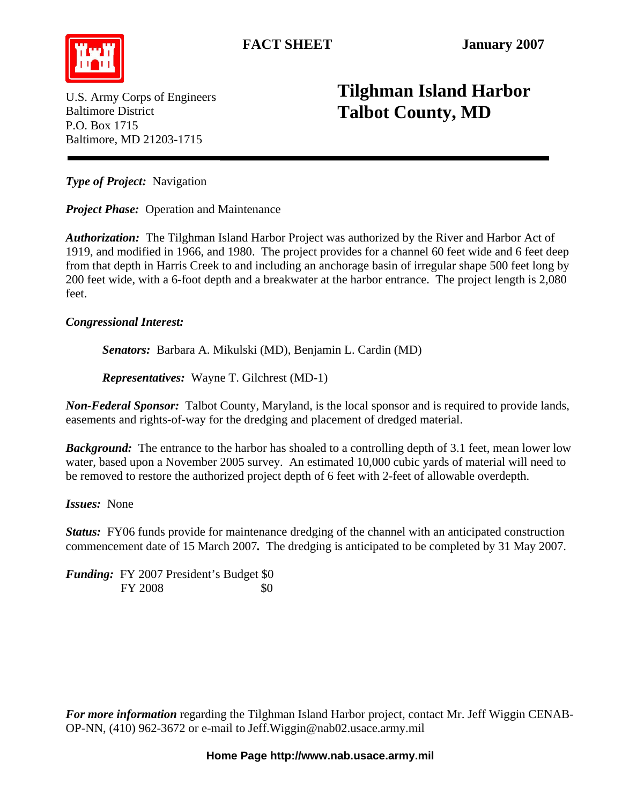FACT SHEET January 2007



P.O. Box 1715

U.S. Army Corps of Engineers Baltimore District

## **Tilghman Island Harbor Talbot County, MD**

*Type of Project:* Navigation

Baltimore, MD 21203-1715

*Project Phase:* Operation and Maintenance

*Authorization:* The Tilghman Island Harbor Project was authorized by the River and Harbor Act of 1919, and modified in 1966, and 1980. The project provides for a channel 60 feet wide and 6 feet deep from that depth in Harris Creek to and including an anchorage basin of irregular shape 500 feet long by 200 feet wide, with a 6-foot depth and a breakwater at the harbor entrance. The project length is 2,080 feet.

## *Congressional Interest:*

 *Senators:* Barbara A. Mikulski (MD), Benjamin L. Cardin (MD)

*Representatives:* Wayne T. Gilchrest (MD-1)

*Non-Federal Sponsor:* Talbot County, Maryland, is the local sponsor and is required to provide lands, easements and rights-of-way for the dredging and placement of dredged material.

*Background:* The entrance to the harbor has shoaled to a controlling depth of 3.1 feet, mean lower low water, based upon a November 2005 survey. An estimated 10,000 cubic yards of material will need to be removed to restore the authorized project depth of 6 feet with 2-feet of allowable overdepth.

*Issues:* None

*Status:* FY06 funds provide for maintenance dredging of the channel with an anticipated construction commencement date of 15 March 2007*.* The dredging is anticipated to be completed by 31 May 2007.

*Funding:* FY 2007 President's Budget \$0 FY 2008 \$0

*For more information* regarding the Tilghman Island Harbor project, contact Mr. Jeff Wiggin CENAB-OP-NN, (410) 962-3672 or e-mail to [Jeff.Wiggin@nab02.usace.army.mil](mailto:Jeff.Wiggin@nab02.usace.army.mil)